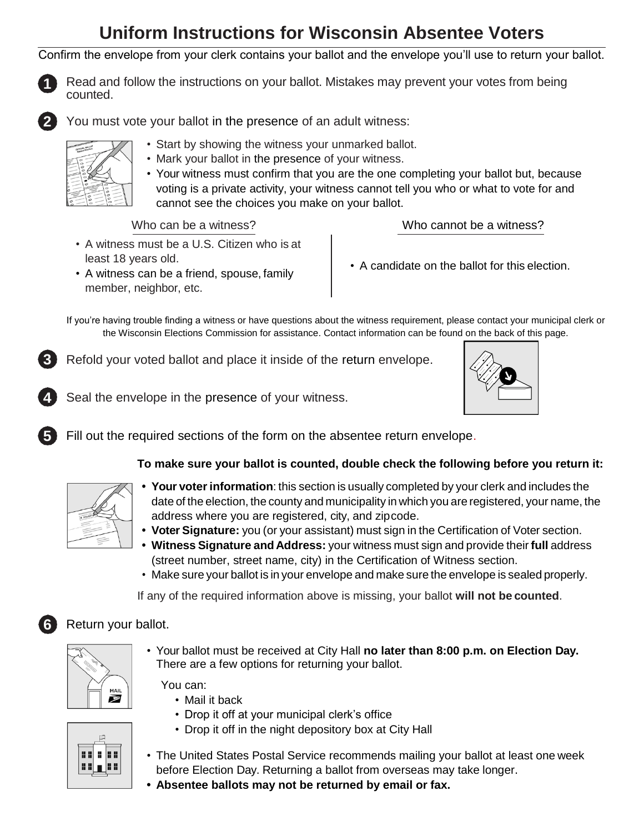# **Uniform Instructions for Wisconsin Absentee Voters**

Confirm the envelope from your clerk contains your ballot and the envelope you'll use to return your ballot.



Read and follow the instructions on your ballot. Mistakes may prevent your votes from being counted.



**4**

**5**

**6**

You must vote your ballot in the presence of an adult witness:



- Start by showing the witness your unmarked ballot.
- Mark your ballot in the presence of your witness.
- Your witness must confirm that you are the one completing your ballot but, because voting is a private activity, your witness cannot tell you who or what to vote for and cannot see the choices you make on your ballot.

Who can be a witness?  $\sim$  Who cannot be a witness?

- A witness must be a U.S. Citizen who is at least 18 years old.
- A witness can be a friend, spouse, family member, neighbor, etc.
- A candidate on the ballot for this election.

If you're having trouble finding a witness or have questions about the witness requirement, please contact your municipal clerk or the Wisconsin Elections Commission for assistance. Contact information can be found on the back of this page.

Refold your voted ballot and place it inside of the return envelope. **3**

Seal the envelope in the presence of your witness.



Fill out the required sections of the form on the absentee return envelope.

### **To make sure your ballot is counted, double check the following before you return it:**



- Your voter information: this section is usually completed by your clerk and includes the date of the election, the county and municipality in which you are registered, your name, the address where you are registered, city, and zipcode.
- **• Voter Signature:** you (or your assistant) must sign in the Certification of Voter section.
- **• Witness Signature and Address:** your witness must sign and provide their **full** address (street number, street name, city) in the Certification of Witness section.
- Make sure your ballot is in your envelope and make sure the envelope is sealed properly.

If any of the required information above is missing, your ballot **will not be counted**.

## Return your ballot.

|  | MAIL |
|--|------|
|  |      |

• Your ballot must be received at City Hall **no later than 8:00 p.m. on Election Day.**  There are a few options for returning your ballot.

You can:

- Mail it back
- Drop it off at your municipal clerk's office
- Drop it off in the night depository box at City Hall



- The United States Postal Service recommends mailing your ballot at least one week before Election Day. Returning a ballot from overseas may take longer.
- **• Absentee ballots may not be returned by email or fax.**